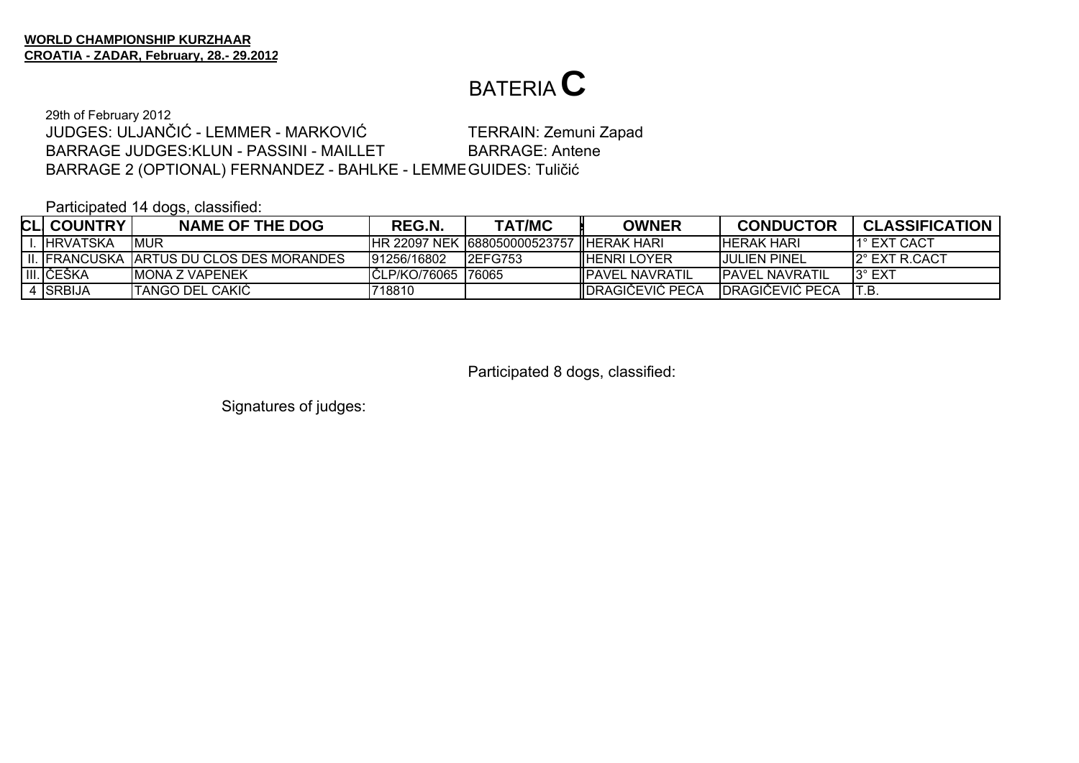BARRAGE 2 (OPTIONAL) FERNANDEZ - BAHLKE - LEMME GUIDES: Tuličić 29th of February 2012 JUDGES: ULJANČIĆ - LEMMER - MARKOVIĆ TERRAIN: Zemuni Zapad BARRAGE JUDGES:KLUN - PASSINI - MAILLETBARRAGE: Antene

Participated 14 dogs, classified:

| <b>CLI COUNTRY</b> | <b>NAME OF THE DOG</b>                     | REG.N.               | <b>TAT/MC</b>                  | <b>OWNER</b>             | <b>CONDUCTOR</b>       | <b>CLASSIFICATION</b> |
|--------------------|--------------------------------------------|----------------------|--------------------------------|--------------------------|------------------------|-----------------------|
| . IHRVATSKA        | <b>MUR</b>                                 |                      | IHR 22097 NEK 1688050000523757 | ' IIHERAK HARI           | <b>IHERAK HARI</b>     | <b>11° EXT CACT</b>   |
|                    | II. IFRANCUSKA TARTUS DU CLOS DES MORANDES | 191256/16802         | <b>I2EFG753</b>                | <b>IHENRI LOYER</b>      | IJULIEN PINEL          | 12° EXT R.CACT        |
| III. IČEŠKA        | IMONA Z VAPENEK                            | ICLP/KO/76065 I76065 |                                | <b>IIPAVEL NAVRATIL</b>  | <b>IPAVEL NAVRATIL</b> | 13° EXT               |
| 4 ISRBIJA          | <b>ITANGO DEL CAKIC</b>                    | 718810               |                                | <b>IIDRAGICEVIC PECA</b> | IDRAGICEVIC PECA       | IT.B                  |

Participated 8 dogs, classified: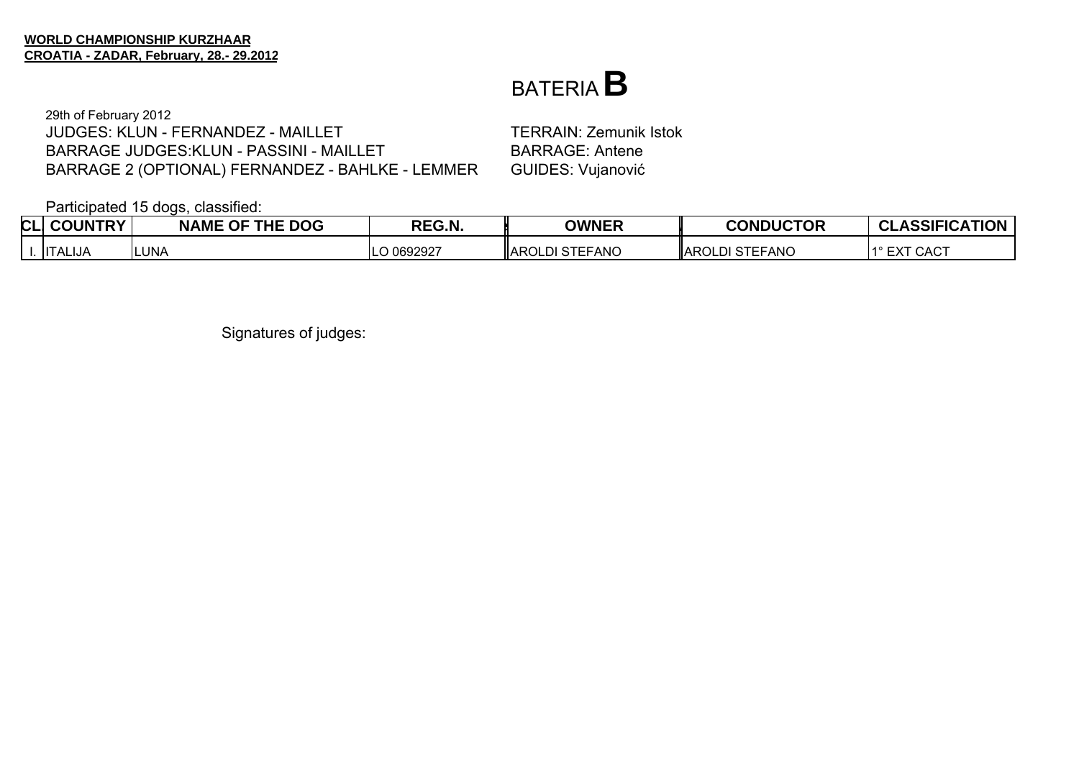#### BATERIA**B**

29th of February 2012 JUDGES: KLUN - FERNANDEZ - MAILLETBARRAGE JUDGES:KLUN - PASSINI - MAILLETBARRAGE 2 (OPTIONAL) FERNANDEZ - BAHLKE - LEMMER GUIDES: Vujanović

 TERRAIN: Zemunik Istok BARRAGE: Antene

Participated 15 dogs, classified:

| CLI | <b>COUNTRY</b>                | <b>NAME OF THE DOG</b> | REG.N.    | <b>OWNER</b>            | <b>CONDUCTOR</b>      | <b>CLASSIFICATION</b>          |
|-----|-------------------------------|------------------------|-----------|-------------------------|-----------------------|--------------------------------|
|     | $\mathbf{H}$<br><b>TALIJA</b> | LUNA                   | 0692927 ر | <b>IIAROLDI STEFANO</b> | <b>AROLDI STEFANO</b> | <b>CACT</b><br><b>FVT</b><br>∽ |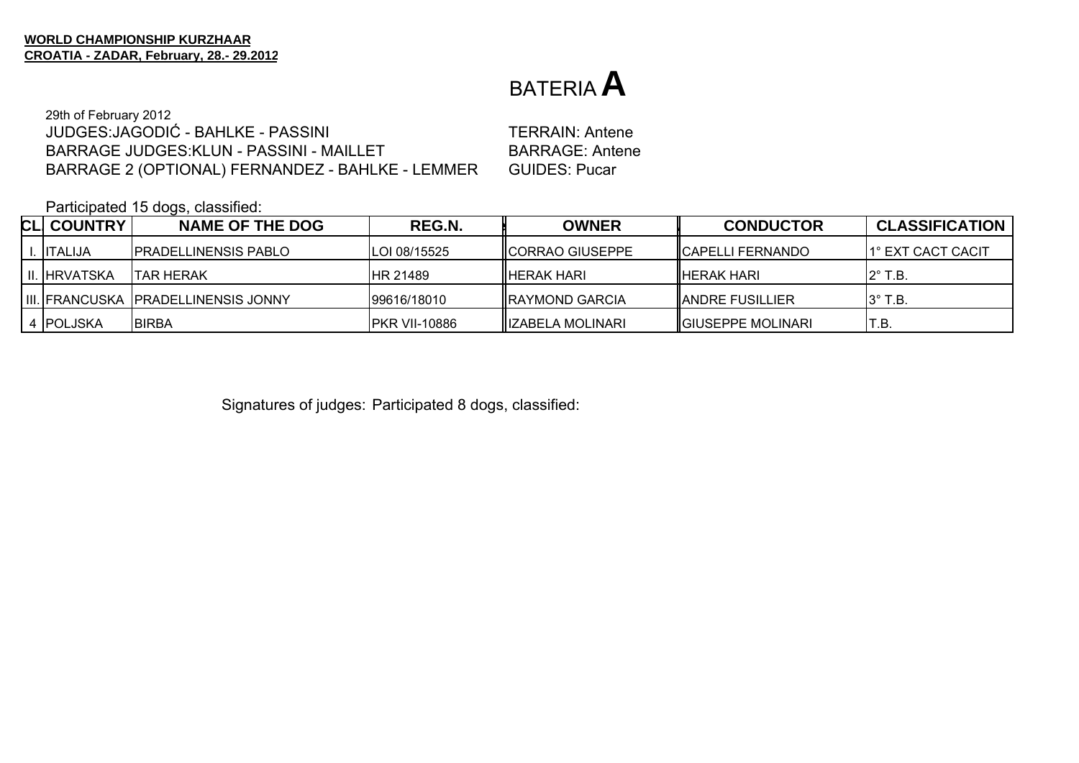29th of February 2012 JUDGES:JAGODIĆ - BAHLKE - PASSINIBARRAGE JUDGES:KLUN - PASSINI - MAILLETBARRAGE 2 (OPTIONAL) FERNANDEZ - BAHLKE - LEMMER GUIDES: Pucar

 TERRAIN: AnteneBARRAGE: Antene

Participated 15 dogs, classified:

| <b>CLI COUNTRY</b>  | <b>NAME OF THE DOG</b>                      | REG.N.               | <b>OWNER</b>             | <b>CONDUCTOR</b>          | <b>CLASSIFICATION</b> |
|---------------------|---------------------------------------------|----------------------|--------------------------|---------------------------|-----------------------|
| I. IITALIJA         | <b>IPRADELLINENSIS PABLO</b>                | ILOI 08/15525        | <b>IICORRAO GIUSEPPE</b> | <b>ICAPELLI FERNANDO</b>  | 1° EXT CACT CACIT     |
| <b>II. HRVATSKA</b> | ITAR HERAK                                  | <b>HR 21489</b>      | IHERAK HARI              | <b>I</b> HERAK HARI       | $2^\circ$ T.B.        |
|                     | <b>IIII. FRANCUSKA PRADELLINENSIS JONNY</b> | 99616/18010          | <b>IRAYMOND GARCIA</b>   | <b>IANDRE FUSILLIER</b>   | $3^\circ$ T.B.        |
| 4 POLJSKA           | <b>BIRBA</b>                                | <b>PKR VII-10886</b> | IZABELA MOLINARI         | <b>IGIUSEPPE MOLINARI</b> | T.B                   |

Signatures of judges: Participated 8 dogs, classified: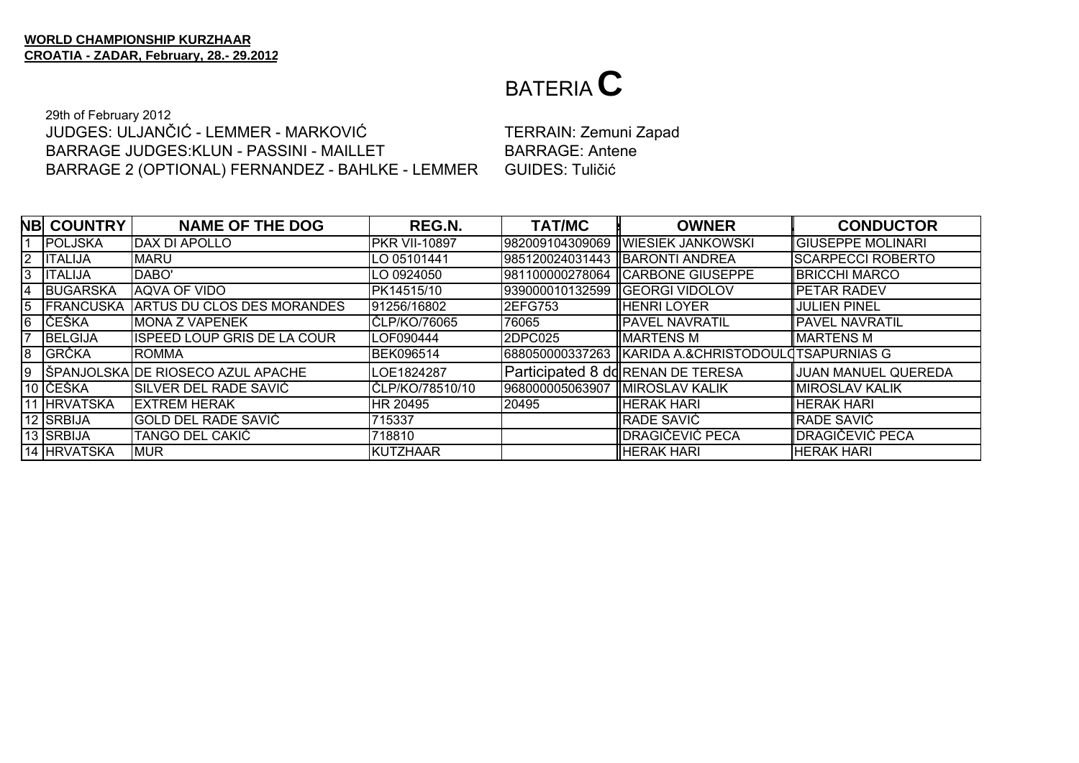29th of February 2012 JUDGES: ULJANČIĆ - LEMMER - MARKOVIĆBARRAGE JUDGES:KLUN - PASSINI - MAILLETBARRAGE 2 (OPTIONAL) FERNANDEZ - BAHLKE - LEMMER GUIDES: Tuličić

 TERRAIN: Zemuni Zapad BARRAGE: Antene

|                | <b>NB COUNTRY</b> | <b>NAME OF THE DOG</b>             | REG.N.               | <b>TAT/MC</b>   | <b>OWNER</b>                        | <b>CONDUCTOR</b>           |
|----------------|-------------------|------------------------------------|----------------------|-----------------|-------------------------------------|----------------------------|
|                | POLJSKA           | DAX DI APOLLO                      | <b>PKR VII-10897</b> |                 | 982009104309069 WIESIEK JANKOWSKI   | <b>GIUSEPPE MOLINARI</b>   |
| $\overline{2}$ | <b>ITALIJA</b>    | <b>MARU</b>                        | LO 05101441          |                 | 985120024031443  BARONTI ANDREA     | <b>SCARPECCI ROBERTO</b>   |
| 3              | <b>ITALIJA</b>    | DABO'                              | LO 0924050           | 981100000278064 | <b>ICARBONE GIUSEPPE</b>            | <b>BRICCHI MARCO</b>       |
| 4              | <b>BUGARSKA</b>   | AQVA OF VIDO                       | PK14515/10           |                 | 939000010132599   GEORGI VIDOLOV    | <b>PETAR RADEV</b>         |
| 5              | <b>IFRANCUSKA</b> | ARTUS DU CLOS DES MORANDES         | 91256/16802          | <b>2EFG753</b>  | IHENRI LOYER                        | IJULIEN PINEL              |
| 6              | <b>IČEŠKA</b>     | <b>MONA Z VAPENEK</b>              | ČLP/KO/76065         | 76065           | <b>PAVEL NAVRATIL</b>               | <b>PAVEL NAVRATIL</b>      |
|                | BELGIJA           | <b>ISPEED LOUP GRIS DE LA COUR</b> | LOF090444            | 2DPC025         | <b>MARTENS M</b>                    | <b>MARTENS M</b>           |
| 8              | <b>GRČKA</b>      | <b>ROMMA</b>                       | <b>BEK096514</b>     | 688050000337263 | IKARIDA A.&CHRISTODOULOTSAPURNIAS G |                            |
| 9              |                   | ŠPANJOLSKA DE RIOSECO AZUL APACHE  | LOE1824287           |                 | Participated 8 dd RENAN DE TERESA   | <b>JUAN MANUEL QUEREDA</b> |
|                | 10 ČEŠKA          | SILVER DEL RADE SAVIĆ              | IČLP/KO/78510/10     | 968000005063907 | <b>IMIROSLAV KALIK</b>              | IMIROSLAV KALIK            |
|                | 11 HRVATSKA       | <b>IEXTREM HERAK</b>               | HR 20495             | 20495           | <b>HERAK HARI</b>                   | <b>HERAK HARI</b>          |
|                | 12 SRBIJA         | GOLD DEL RADE SAVIĆ                | 715337               |                 | RADE SAVIĆ                          | RADE SAVIĆ                 |
|                | 13 SRBIJA         | TANGO DEL CAKIĆ                    | 718810               |                 | IDRAGIČEVIĆ PECA                    | DRAGIČEVIĆ PECA            |
|                | 14 HRVATSKA       | <b>MUR</b>                         | KUTZHAAR             |                 | <b>HERAK HARI</b>                   | <b>HERAK HARI</b>          |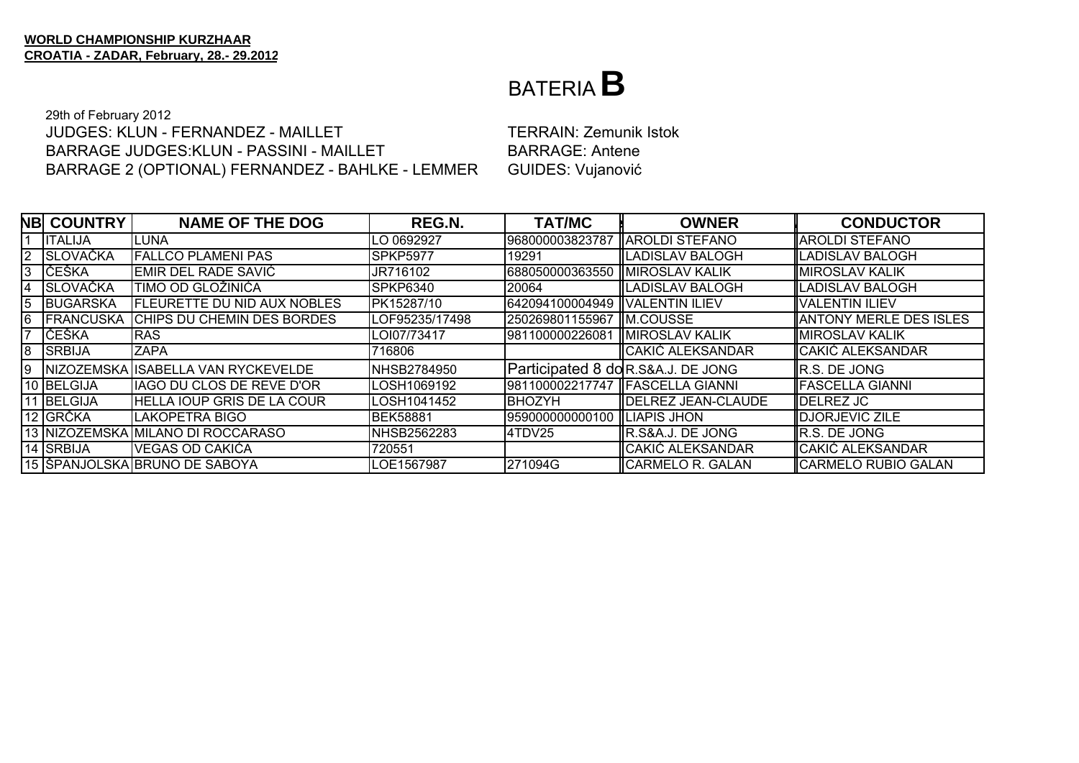#### BATERIA B

29th of February 2012 JUDGES: KLUN - FERNANDEZ - MAILLET BARRAGE JUDGES: KLUN - PASSINI - MAILLET BARRAGE 2 (OPTIONAL) FERNANDEZ - BAHLKE - LEMMER

**TERRAIN: Zemunik Istok BARRAGE: Antene GUIDES: Vujanović** 

|                | <b>NB COUNTRY</b> | <b>NAME OF THE DOG</b>             | REG.N.          | <b>TAT/MC</b>                  | <b>OWNER</b>                       | <b>CONDUCTOR</b>              |
|----------------|-------------------|------------------------------------|-----------------|--------------------------------|------------------------------------|-------------------------------|
|                | <b>ITALIJA</b>    | LUNA                               | LO 0692927      | 968000003823787                | <b>IAROLDI STEFANO</b>             | ∥AROLDI STEFANO               |
| $\overline{2}$ | SLOVAČKA          | <b>FALLCO PLAMENI PAS</b>          | <b>SPKP5977</b> | 19291                          | LADISLAV BALOGH                    | LADISLAV BALOGH               |
| 3              | <b>IČEŠKA</b>     | EMIR DEL RADE SAVIĆ                | JR716102        | 688050000363550                | <b>IMIROSLAV KALIK</b>             | ∥MIROSLAV KALIK               |
| 4              | <b>SLOVAČKA</b>   | TIMO OD GLOŽINIĆA                  | SPKP6340        | 20064                          | ILADISLAV BALOGH                   | LADISLAV BALOGH               |
| 5              | BUGARSKA          | <b>FLEURETTE DU NID AUX NOBLES</b> | PK15287/10      | 642094100004949 VALENTIN ILIEV |                                    | VALENTIN ILIEV                |
| 6              | <b>FRANCUSKA</b>  | CHIPS DU CHEMIN DES BORDES         | LOF95235/17498  | 250269801155967                | <b>IM.COUSSE</b>                   | <b>ANTONY MERLE DES ISLES</b> |
|                | <b>IČEŠKA</b>     | <b>RAS</b>                         | LOI07/73417     | 981100000226081                | <b>IMIROSLAV KALIK</b>             | <b>IMIROSLAV KALIK</b>        |
| 8              | <b>SRBIJA</b>     | <b>ZAPA</b>                        | 716806          |                                | CAKIĆ ALEKSANDAR                   | ∥CAKIĆ ALEKSANDAR             |
| Ι9             |                   | NIZOZEMSKA ISABELLA VAN RYCKEVELDE | NHSB2784950     |                                | Participated 8 do R.S&A.J. DE JONG | R.S. DE JONG                  |
|                | 10 BELGIJA        | <b>IAGO DU CLOS DE REVE D'OR</b>   | LOSH1069192     | 981100002217747                | <b>IFASCELLA GIANNI</b>            | FASCELLA GIANNI               |
|                | 11 BELGIJA        | <b>HELLA IOUP GRIS DE LA COUR</b>  | LOSH1041452     | <b>BHOZYH</b>                  | <b>IDELREZ JEAN-CLAUDE</b>         | ∥DELREZ JC                    |
|                | 12 GRČKA          | LAKOPETRA BIGO                     | <b>BEK58881</b> | 959000000000100                | <b>ILIAPIS JHON</b>                | ∥DJORJEVIC ZILE               |
|                |                   | 13 NIZOZEMSKA MILANO DI ROCCARASO  | NHSB2562283     | 4TDV25                         | IR.S&A.J. DE JONG                  | R.S. DE JONG                  |
|                | 14 SRBIJA         | VEGAS OD CAKIĆA                    | 720551          |                                | ∥CAKIĆ ALEKSANDAR                  | ∥CAKIĆ ALEKSANDAR             |
|                |                   | 15 ŠPANJOLSKA BRUNO DE SABOYA      | LOE1567987      | 271094G                        | <b>CARMELO R. GALAN</b>            | CARMELO RUBIO GALAN           |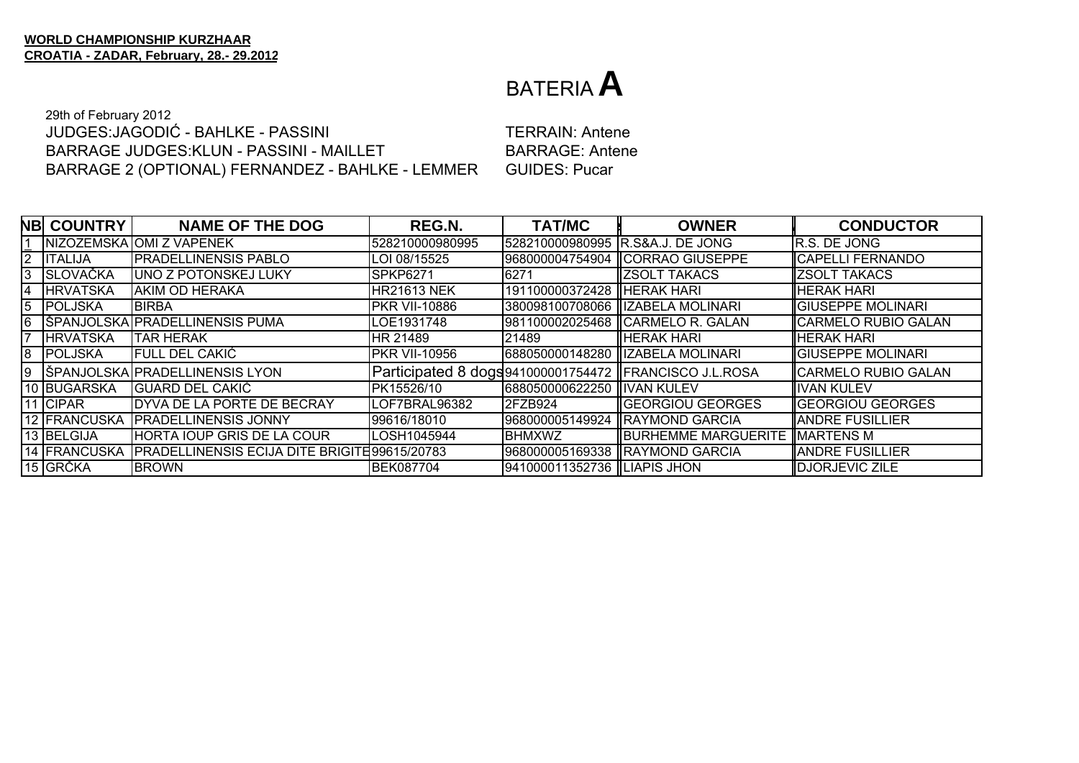29th of February 2012 JUDGES:JAGODIĆ - BAHLKE - PASSINIBARRAGE JUDGES:KLUN - PASSINI - MAILLETBARRAGE 2 (OPTIONAL) FERNANDEZ - BAHLKE - LEMMER GUIDES: Pucar

 TERRAIN: AnteneBARRAGE: Antene

|                | <b>NB COUNTRY</b> | <b>NAME OF THE DOG</b>                               | REG.N.               | <b>TAT/MC</b>                    | <b>OWNER</b>                                            | <b>CONDUCTOR</b>          |
|----------------|-------------------|------------------------------------------------------|----------------------|----------------------------------|---------------------------------------------------------|---------------------------|
|                |                   | NIZOZEMSKA JOMI Z VAPENEK                            | 528210000980995      | 528210000980995 R.S&A.J. DE JONG |                                                         | IR.S. DE JONG             |
| $\overline{2}$ | <b>ITALIJA</b>    | <b>PRADELLINENSIS PABLO</b>                          | LOI 08/15525         |                                  | 1968000004754904 ICORRAO GIUSEPPE                       | CAPELLI FERNANDO          |
| 3              | <b>SLOVAČKA</b>   | JUNO Z POTONSKEJ LUKY                                | SPKP6271             | 6271                             | <b>IZSOLT TAKACS</b>                                    | <b>IZSOLT TAKACS</b>      |
| $\overline{4}$ | <b>HRVATSKA</b>   | IAKIM OD HERAKA                                      | HR21613 NEK          | 191100000372428 HERAK HARI       |                                                         | <b>HERAK HARI</b>         |
| 5              | POLJSKA           | <b>BIRBA</b>                                         | <b>PKR VII-10886</b> |                                  | 380098100708066   IZABELA MOLINARI                      | <b>GIUSEPPE MOLINARI</b>  |
| 6              |                   | SPANJOLSKA PRADELLINENSIS PUMA                       | LOE1931748           |                                  |                                                         | CARMELO RUBIO GALAN       |
|                | <b>HRVATSKA</b>   | <b>TAR HERAK</b>                                     | HR 21489             | 21489                            | <b>HERAK HARI</b>                                       | HERAK HARI                |
| 8              | <b>POLJSKA</b>    | FULL DEL CAKIĆ                                       | <b>PKR VII-10956</b> |                                  | 688050000148280   IZABELA MOLINARI                      | <b>GIUSEPPE MOLINARI</b>  |
| 9              |                   | ŠPANJOLSKA PRADELLINENSIS LYON                       |                      |                                  | Participated 8 dogs941000001754472   FRANCISCO J.L.ROSA | CARMELO RUBIO GALAN       |
|                | 10 BUGARSKA       | IGUARD DEL CAKIĆ                                     | PK15526/10           | 688050000622250 IIVAN KULEV      |                                                         | <b>IVAN KULEV</b>         |
|                | 11 CIPAR          | DYVA DE LA PORTE DE BECRAY                           | LOF7BRAL96382        | <b>2FZB924</b>                   | <b>I</b> GEORGIOU GEORGES                               | <b>I</b> GEORGIOU GEORGES |
|                | 12 FRANCUSKA      | <b>PRADELLINENSIS JONNY</b>                          | 99616/18010          |                                  | 968000005149924 RAYMOND GARCIA                          | <b>JANDRE FUSILLIER</b>   |
|                | 13 BELGIJA        | IHORTA IOUP GRIS DE LA COUR                          | LOSH1045944          | <b>BHMXWZ</b>                    | <b>IBURHEMME MARGUERITE   </b>                          | <b>MARTENS M</b>          |
|                | 14 FRANCUSKA      | <b>PRADELLINENSIS ECIJA DITE BRIGITE 99615/20783</b> |                      |                                  | 968000005169338  RAYMOND GARCIA                         | <b>JANDRE FUSILLIER</b>   |
|                | $15$ GRČKA        | <b>BROWN</b>                                         | <b>BEK087704</b>     | 941000011352736  LIAPIS JHON     |                                                         | DJORJEVIC ZILE            |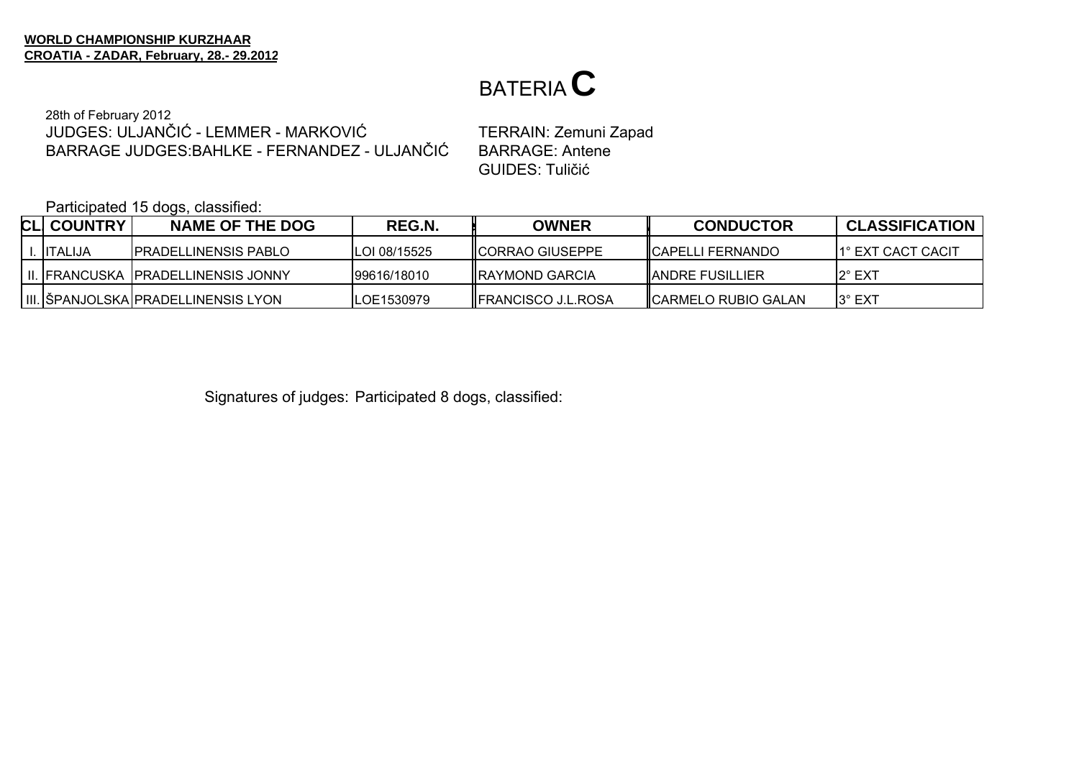28th of February 2012 JUDGES: ULJANČIĆ - LEMMER - MARKOVIĆBARRAGE JUDGES:BAHLKE - FERNANDEZ - ULJANČIĆ

 TERRAIN: Zemuni Zapad BARRAGE: Antene GUIDES: Tuličić

Participated 15 dogs, classified:

| <b>CLI COUNTRY</b> | <b>NAME OF THE DOG</b>                 | REG.N.               | <b>OWNER</b>               | <b>CONDUCTOR</b>         | <b>CLASSIFICATION</b> |
|--------------------|----------------------------------------|----------------------|----------------------------|--------------------------|-----------------------|
| <b>IITALIJA</b>    | <b>IPRADELLINENSIS PABLO</b>           | <b>ILOI 08/15525</b> | <b>IICORRAO GIUSEPPE</b>   | <b>ICAPELLI FERNANDO</b> | 11° EXT CACT CACIT    |
|                    | I II. IFRANCUSKA IPRADELLINENSIS JONNY | 99616/18010          | <b>IRAYMOND GARCIA</b>     | <b>IANDRE FUSILLIER</b>  | I2° EXT               |
|                    | III. SPANJOLSKA PRADELLINENSIS LYON    | <b>ILOE1530979</b>   | <b>IFRANCISCO J.L.ROSA</b> | CARMELO RUBIO GALAN      | $3^\circ$ EXT         |

Signatures of judges: Participated 8 dogs, classified: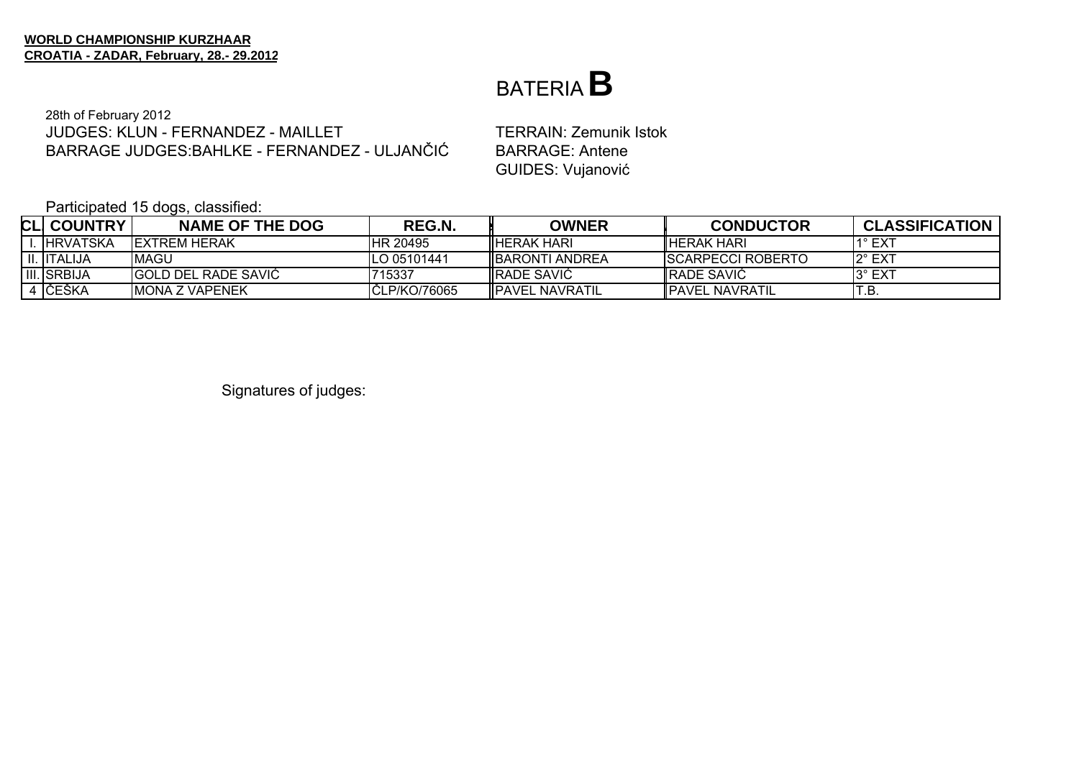#### BATERIA**B**

28th of February 2012 JUDGES: KLUN - FERNANDEZ - MAILLETBARRAGE JUDGES:BAHLKE - FERNANDEZ - ULJANČIĆ

 TERRAIN: Zemunik Istok BARRAGE: Antene GUIDES: Vujanović

Participated 15 dogs, classified:

| <b>CLI COUNTRY</b> | <b>NAME OF THE DOG</b> | REG.N.        | <b>OWNER</b>            | <b>CONDUCTOR</b>          | <b>CLASSIFICATION</b> |
|--------------------|------------------------|---------------|-------------------------|---------------------------|-----------------------|
| . IHRVATSKA        | IEXTREM HERAK          | IHR 20495     | <b>IIHERAK HARI</b>     | <b>IHERAK HARI</b>        | $1^\circ$ EXT         |
| II. IITALIJA       | IMAGU                  | ILO 05101441  | <b>IBARONTI ANDREA</b>  | <b>ISCARPECCI ROBERTO</b> | 12° EXT               |
| <b>III.</b> SRBIJA | IGOLD DEL RADE SAVIC   | 715337        | <b>IRADE SAVIC</b>      | <b>IRADE SAVIC</b>        | 13° EXT               |
| 4 IČEŠKA           | <b>IMONA Z VAPENEK</b> | ICLP/KO/76065 | <b>IIPAVEL NAVRATIL</b> | <b>IPAVEL NAVRATIL</b>    |                       |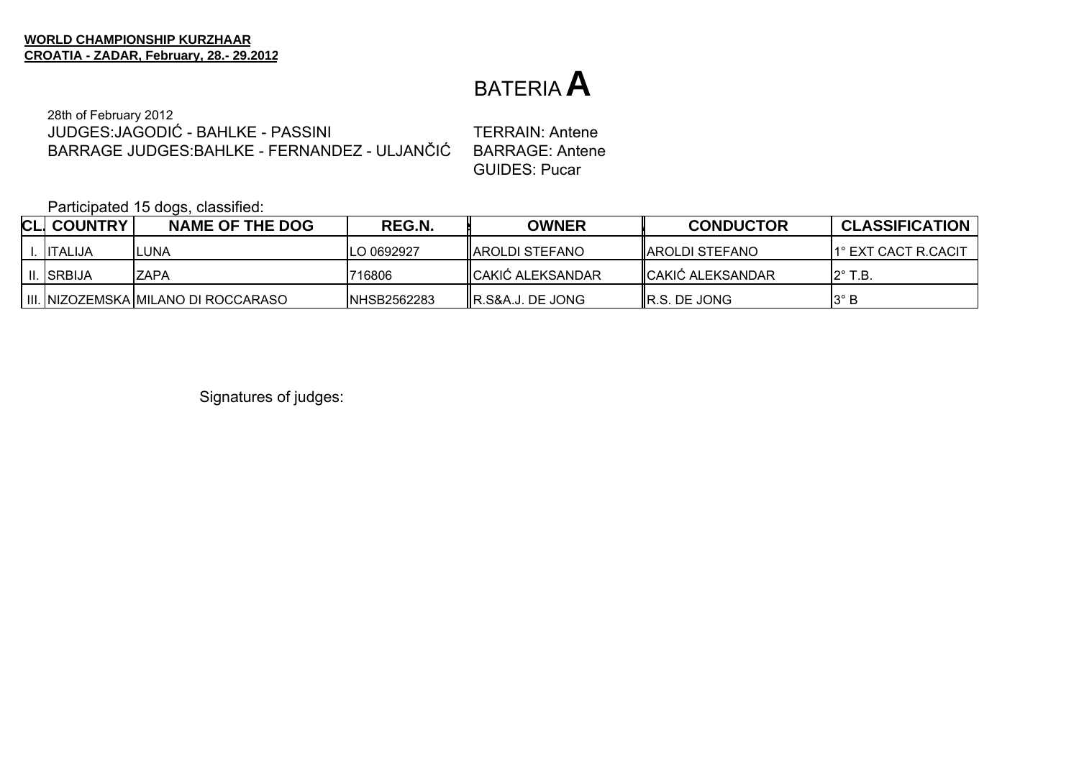28th of February 2012 JUDGES:JAGODIĆ - BAHLKE - PASSINIBARRAGE JUDGES:BAHLKE - FERNANDEZ - ULJANČIĆ

 TERRAIN: Antene BARRAGE: Antene GUIDES: Pucar

Participated 15 dogs, classified:

| <b>CLI COUNTRY</b> | NAME OF THE DOG                     | REG.N.              | <b>OWNER</b>              | <b>CONDUCTOR</b>          | <b>CLASSIFICATION</b> |
|--------------------|-------------------------------------|---------------------|---------------------------|---------------------------|-----------------------|
| <b>IITALIJA</b>    | ILUNA                               | LO 0692927          | IIAROLDI STEFANO          | <b>IAROLDI STEFANO</b>    | 11° EXT CACT R.CACIT  |
| II. ISRBIJA        | <b>IZAPA</b>                        | 1716806             | <b>IICAKIĆ ALEKSANDAR</b> | <b>I</b> CAKIĆ ALEKSANDAR | $12^\circ$ T.B.       |
|                    | III. NIZOZEMSKA MILANO DI ROCCARASO | <b>INHSB2562283</b> | IR.S&A.J. DE JONG         | <b>IR.S. DE JONG</b>      | $13^\circ$ B          |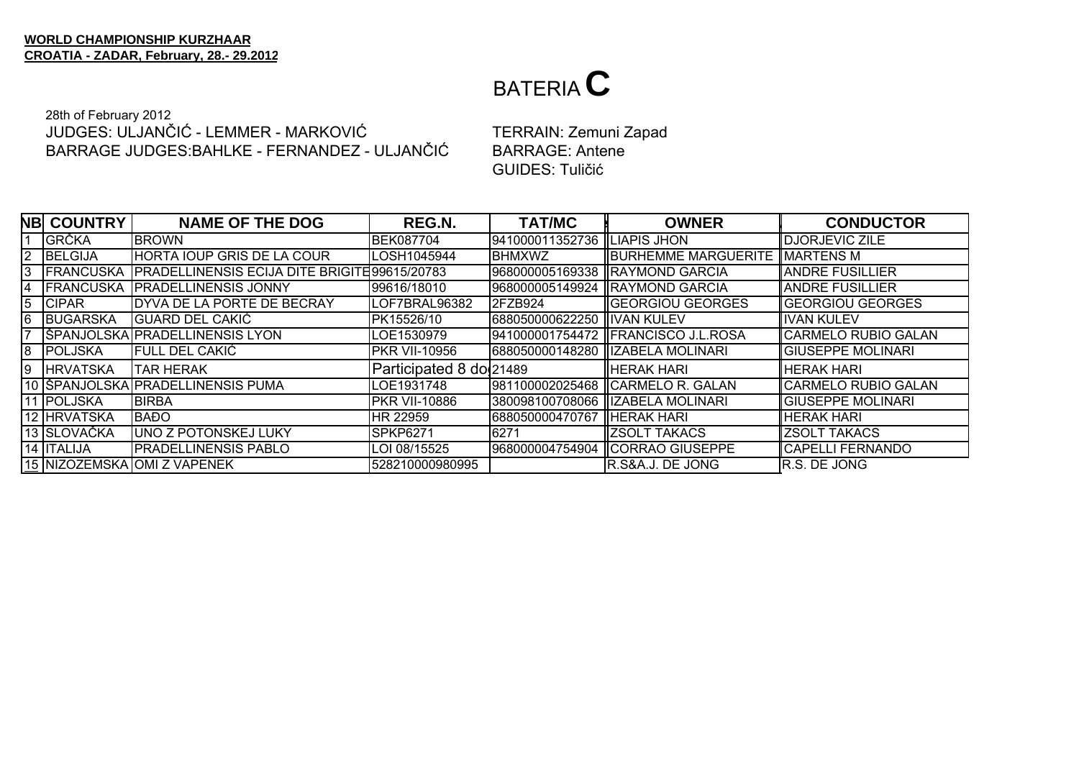#### 28th of February 2012 JUDGES: ULJANČIĆ - LEMMER - MARKOVIĆBARRAGE JUDGES:BAHLKE - FERNANDEZ - ULJANČIĆ

 TERRAIN: Zemuni Zapad BARRAGE: Antene GUIDES: Tuličić

|    | <b>NB COUNTRY</b> | <b>NAME OF THE DOG</b>                               | <b>REG.N.</b>           | <b>TAT/MC</b>                | <b>OWNER</b>                         | <b>CONDUCTOR</b>         |
|----|-------------------|------------------------------------------------------|-------------------------|------------------------------|--------------------------------------|--------------------------|
|    | <b>GRČKA</b>      | <b>BROWN</b>                                         | <b>BEK087704</b>        | 941000011352736  LIAPIS JHON |                                      | <b>IDJORJEVIC ZILE</b>   |
| 2  | BELGIJA           | <b>HORTA IOUP GRIS DE LA COUR</b>                    | LOSH1045944             | <b>BHMXWZ</b>                | <b>BURHEMME MARGUERITE MARTENS M</b> |                          |
| Ι3 | <b>FRANCUSKA</b>  | <b>PRADELLINENSIS ECIJA DITE BRIGITE 99615/20783</b> |                         |                              | 968000005169338 RAYMOND GARCIA       | <b>IANDRE FUSILLIER</b>  |
| 4  | <b>FRANCUSKA</b>  | <b>PRADELLINENSIS JONNY</b>                          | 99616/18010             |                              | 968000005149924  RAYMOND GARCIA      | <b>ANDRE FUSILLIER</b>   |
| 5  | <b>CIPAR</b>      | DYVA DE LA PORTE DE BECRAY                           | LOF7BRAL96382           | I2FZB924                     | <b>IGEORGIOU GEORGES</b>             | <b>IGEORGIOU GEORGES</b> |
| 6  | BUGARSKA          | IGUARD DEL CAKIĆ                                     | PK15526/10              | 688050000622250 IIVAN KULEV  |                                      | <b>IVAN KULEV</b>        |
|    |                   | SPANJOLSKA PRADELLINENSIS LYON                       | LOE1530979              |                              | 941000001754472   FRANCISCO J.L.ROSA | CARMELO RUBIO GALAN      |
| 8  | POLJSKA           | FULL DEL CAKIĆ                                       | <b>PKR VII-10956</b>    |                              | 688050000148280   IZABELA MOLINARI   | <b>GIUSEPPE MOLINARI</b> |
| Ι9 | <b>HRVATSKA</b>   | ITAR HERAK                                           | Participated 8 do 21489 |                              | <b>IIHERAK HARI</b>                  | <b>IHERAK HARI</b>       |
|    |                   | 10  ŠPANJOLSKA   PRADELLINENSIS PUMA                 | LOE1931748              |                              | 981100002025468 CARMELO R. GALAN     | CARMELO RUBIO GALAN      |
|    | 11 POLJSKA        | <b>BIRBA</b>                                         | <b>PKR VII-10886</b>    |                              | 380098100708066   IZABELA MOLINARI   | <b>GIUSEPPE MOLINARI</b> |
|    | 12 HRVATSKA       | <b>BAĐO</b>                                          | HR 22959                | 688050000470767 HERAK HARI   |                                      | <b>HERAK HARI</b>        |
|    | 13 SLOVAČKA       | <b>UNO Z POTONSKEJ LUKY</b>                          | <b>SPKP6271</b>         | 6271                         | IIZSOLT TAKACS                       | <b>ZSOLT TAKACS</b>      |
|    | 14 ITALIJA        | <b>PRADELLINENSIS PABLO</b>                          | LOI 08/15525            |                              | 968000004754904 CORRAO GIUSEPPE      | <b>CAPELLI FERNANDO</b>  |
|    |                   | 15 NIZOZEMSKA OMI Z VAPENEK                          | 528210000980995         |                              | R.S&A.J. DE JONG                     | R.S. DE JONG             |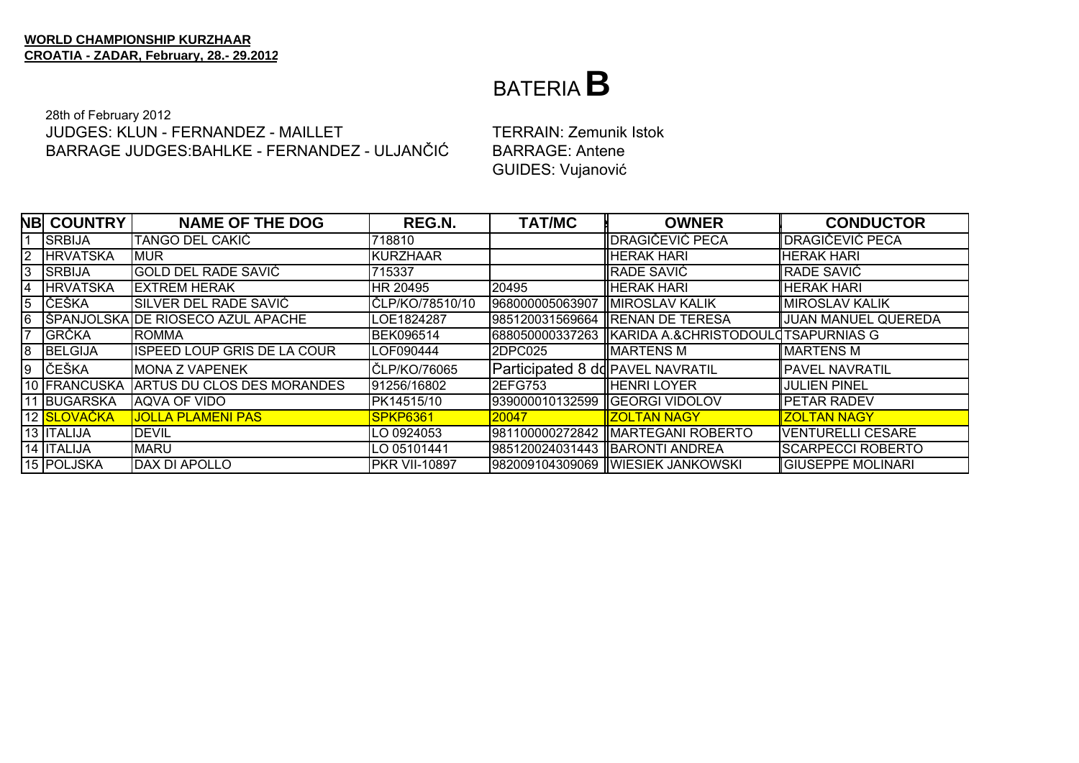### BATERIA**B**

#### 28th of February 2012 JUDGES: KLUN - FERNANDEZ - MAILLETBARRAGE JUDGES:BAHLKE - FERNANDEZ - ULJANČIĆ

 TERRAIN: Zemunik Istok BARRAGE: Antene GUIDES: Vujanović

|                | <b>NB COUNTRY</b> | <b>NAME OF THE DOG</b>             | REG.N.               | <b>TAT/MC</b>                    | <b>OWNER</b>                                       | <b>CONDUCTOR</b>            |
|----------------|-------------------|------------------------------------|----------------------|----------------------------------|----------------------------------------------------|-----------------------------|
|                | <b>ISRBIJA</b>    | TANGO DEL CAKIĆ                    | 718810               |                                  | <b>IDRAGIČEVIĆ PECA</b>                            | <b>IDRAGIČEVIĆ PECA</b>     |
| $\overline{2}$ | <b>HRVATSKA</b>   | <b>MUR</b>                         | <b>KURZHAAR</b>      |                                  | <b>HERAK HARI</b>                                  | <b>HERAK HARI</b>           |
| 3              | <b>SRBIJA</b>     | <b>GOLD DEL RADE SAVIĆ</b>         | 715337               |                                  | <b>IRADE SAVIĆ</b>                                 | <b>RADE SAVIĆ</b>           |
| 4              | <b>HRVATSKA</b>   | <b>IEXTREM HERAK</b>               | HR 20495             | 20495                            | <b>HERAK HARI</b>                                  | <b>HERAK HARI</b>           |
| 5              | <b>LČEŠKA</b>     | SILVER DEL RADE SAVIĆ              | ČLP/KO/78510/10      | 968000005063907 MIROSLAV KALIK   |                                                    | <b>IMIROSLAV KALIK</b>      |
| l6             |                   | ŠPANJOLSKA DE RIOSECO AZUL APACHE  | LOE1824287           |                                  | 985120031569664  RENAN DE TERESA                   | JUAN MANUEL QUEREDA         |
| 17             | <b>GRČKA</b>      | <b>ROMMA</b>                       | <b>BEK096514</b>     |                                  | 688050000337263 KARIDA A.&CHRISTODOULOTSAPURNIAS G |                             |
| 8              | BELGIJA           | <b>ISPEED LOUP GRIS DE LA COUR</b> | LOF090444            | <b>2DPC025</b>                   | <b>IMARTENS M</b>                                  | <b>MARTENS M</b>            |
| Ι9             | ČEŠKA             | <b>MONA Z VAPENEK</b>              | ČLP/KO/76065         | Participated 8 dd PAVEL NAVRATIL |                                                    | <b>PAVEL NAVRATIL</b>       |
|                | 10 FRANCUSKA      | <b>ARTUS DU CLOS DES MORANDES</b>  | 91256/16802          | 2EFG753                          | <b>IIHENRI LOYER</b>                               | JULIEN PINEL                |
|                | 11 BUGARSKA       | AQVA OF VIDO                       | PK14515/10           | 939000010132599   GEORGI VIDOLOV |                                                    | <b>PETAR RADEV</b>          |
|                | 12 SLOVAČKA       | <u>JOLLA PLAMENI PASI</u>          | SPKP6361             | 20047                            | <b>IZOLTAN NAGY</b>                                | <b>ZOLTAN NAGY</b>          |
|                | 13 ITALIJA        | <b>DEVIL</b>                       | LO 0924053           |                                  | 981100000272842   MARTEGANI ROBERTO                | <b>VENTURELLI CESARE</b>    |
|                | 14 ITALIJA        | <b>MARU</b>                        | LO 05101441          |                                  | 985120024031443  BARONTI ANDREA                    | <b>SCARPECCI ROBERTO</b>    |
|                | 15 POLJSKA        | <b>DAX DI APOLLO</b>               | <b>PKR VII-10897</b> |                                  | 982009104309069 WIESIEK JANKOWSKI                  | <b>I</b> IGIUSEPPE MOLINARI |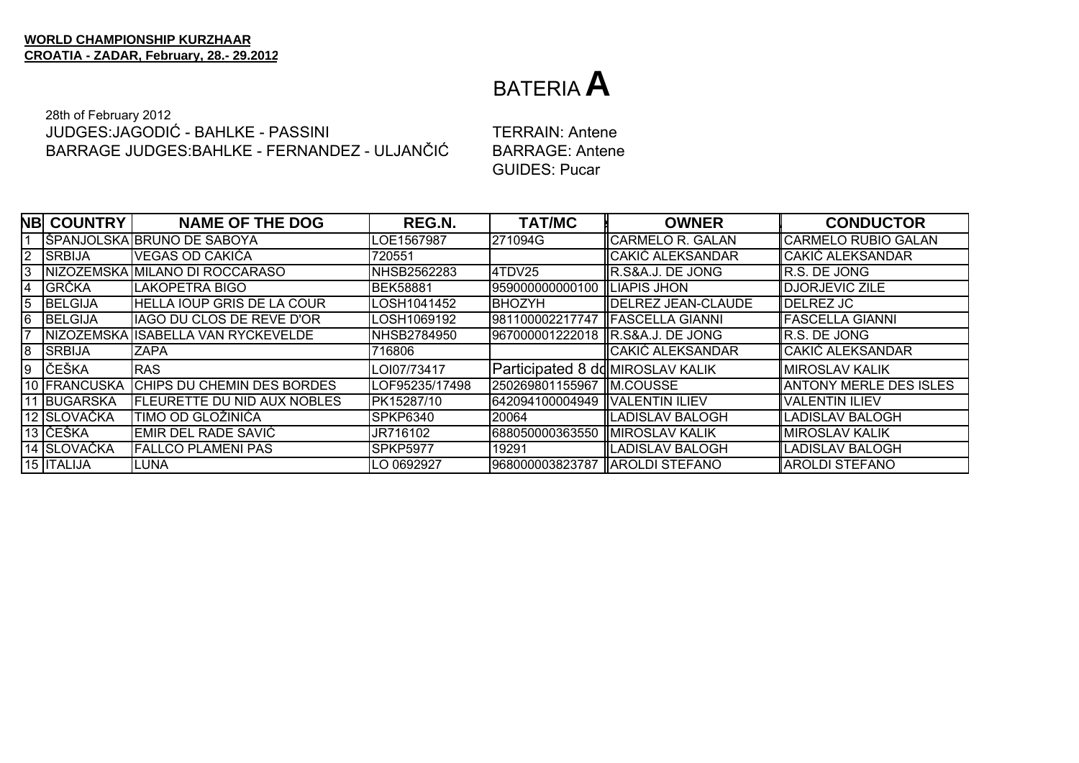28th of February 2012 JUDGES: JAGODIĆ - BAHLKE - PASSINI BARRAGE JUDGES: BAHLKE - FERNANDEZ - ULJANČIĆ

**TERRAIN: Antene BARRAGE: Antene GUIDES: Pucar** 

|    | <b>NB COUNTRY</b> | <b>NAME OF THE DOG</b>             | <b>REG.N.</b>   | <b>TAT/MC</b>                    | <b>OWNER</b>                      | <b>CONDUCTOR</b>              |
|----|-------------------|------------------------------------|-----------------|----------------------------------|-----------------------------------|-------------------------------|
|    |                   | IŠPANJOLSKA IBRUNO DE SABOYA       | LOE1567987      | 271094G                          | IICARMELO R. GALAN                | <b>I</b> ICARMELO RUBIO GALAN |
| 2  | <b>SRBIJA</b>     | VEGAS OD CAKIĆA                    | 720551          |                                  | CAKIĆ ALEKSANDAR                  | <b>CAKIĆ ALEKSANDAR</b>       |
| 3  |                   | NIZOZEMSKA MILANO DI ROCCARASO     | NHSB2562283     | 4TDV25                           | IR.S&A.J. DE JONG                 | R.S. DE JONG                  |
| 14 | <b>GRČKA</b>      | <b>LAKOPETRA BIGO</b>              | <b>BEK58881</b> | 959000000000100  LIAPIS JHON     |                                   | <b>DJORJEVIC ZILE</b>         |
| 5  | <b>BELGIJA</b>    | <b>HELLA IOUP GRIS DE LA COUR</b>  | LOSH1041452     | BHOZYH                           | <b>IDELREZ JEAN-CLAUDE</b>        | DELREZ JC                     |
| 6  | <b>BELGIJA</b>    | IAGO DU CLOS DE REVE D'OR          | LOSH1069192     |                                  | 981100002217747   FASCELLA GIANNI | <b>IFASCELLA GIANNI</b>       |
|    |                   | NIZOZEMSKA ISABELLA VAN RYCKEVELDE | NHSB2784950     |                                  | 967000001222018 IR.S&A.J. DE JONG | R.S. DE JONG                  |
| 8  | SRBIJA            | <b>ZAPA</b>                        | 716806          |                                  | CAKIĆ ALEKSANDAR                  | <b>I</b> CAKIĆ ALEKSANDAR     |
| Ι9 | ČEŠKA             | <b>RAS</b>                         | LOI07/73417     | Participated 8 dd MIROSLAV KALIK |                                   | <b>MIROSLAV KALIK</b>         |
|    | 10 FRANCUSKA      | CHIPS DU CHEMIN DES BORDES         | LOF95235/17498  | 250269801155967 M.COUSSE         |                                   | ANTONY MERLE DES ISLES        |
|    | 11 BUGARSKA       | <b>FLEURETTE DU NID AUX NOBLES</b> | PK15287/10      | 642094100004949  VALENTIN ILIEV  |                                   | <b>VALENTIN ILIEV</b>         |
|    | 12 SLOVAČKA       | TIMO OD GLOŽINIĆA                  | <b>SPKP6340</b> | 20064                            | IILADISLAV BALOGH                 | ILADISLAV BALOGH              |
|    | 13 IČEŠKA         | EMIR DEL RADE SAVIĆ                | JR716102        | 688050000363550 MIROSLAV KALIK   |                                   | <b>MIROSLAV KALIK</b>         |
|    | 14 SLOVAČKA       | <b>FALLCO PLAMENI PAS</b>          | <b>SPKP5977</b> | 19291                            | LADISLAV BALOGH                   | ILADISLAV BALOGH              |
|    | 15 <b>ITALIJA</b> | <b>ILUNA</b>                       | LO 0692927      | 968000003823787   AROLDI STEFANO |                                   | <b>AROLDI STEFANO</b>         |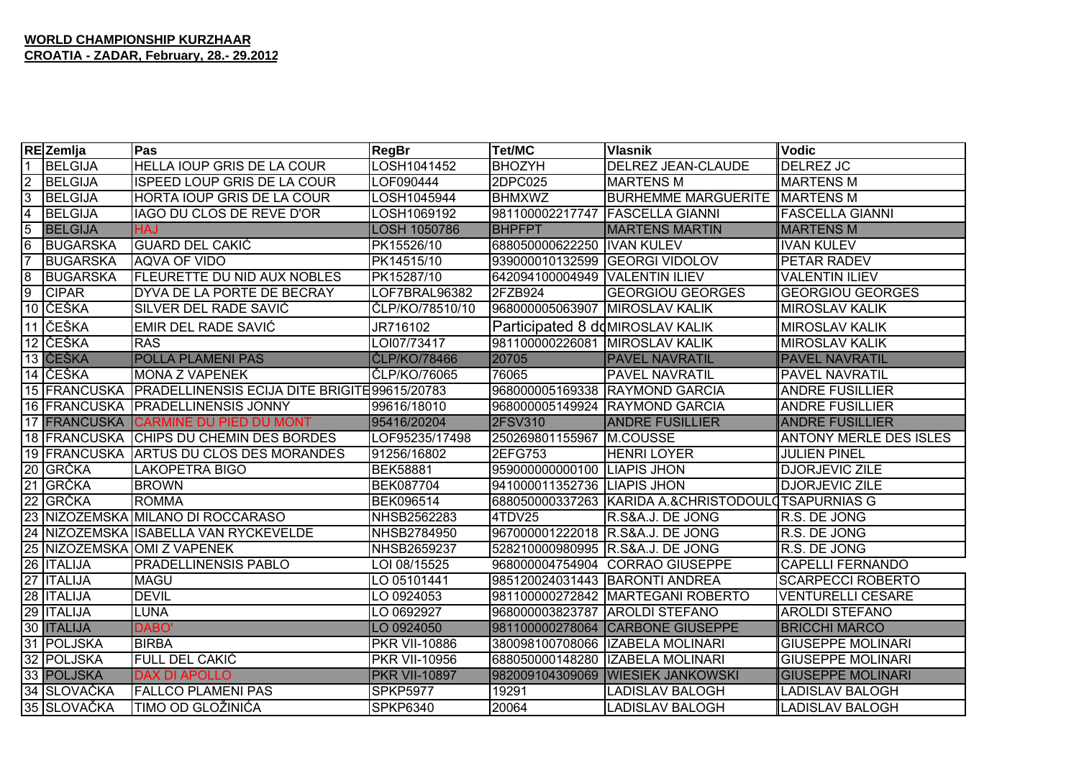|                | REZemlja          | Pas                                                  | <b>RegBr</b>         | <b>Tet/MC</b>                    | <b>Vlasnik</b>                                     | <b>Vodic</b>                  |
|----------------|-------------------|------------------------------------------------------|----------------------|----------------------------------|----------------------------------------------------|-------------------------------|
| $\mathbf{1}$   | <b>BELGIJA</b>    | HELLA IOUP GRIS DE LA COUR                           | LOSH1041452          | <b>BHOZYH</b>                    | DELREZ JEAN-CLAUDE                                 | DELREZ JC                     |
| $\overline{2}$ | <b>BELGIJA</b>    | <b>ISPEED LOUP GRIS DE LA COUR</b>                   | LOF090444            | 2DPC025                          | <b>MARTENS M</b>                                   | <b>MARTENS M</b>              |
| 3              | <b>BELGIJA</b>    | HORTA IOUP GRIS DE LA COUR                           | LOSH1045944          | <b>BHMXWZ</b>                    | <b>BURHEMME MARGUERITE</b>                         | MARTENS M                     |
| 4              | <b>BELGIJA</b>    | IAGO DU CLOS DE REVE D'OR                            | LOSH1069192          | 981100002217747                  | <b>FASCELLA GIANNI</b>                             | <b>FASCELLA GIANNI</b>        |
| 5              | <b>BELGIJA</b>    | <b>HAJ</b>                                           | LOSH 1050786         | <b>BHPFPT</b>                    | <b>MARTENS MARTIN</b>                              | <b>MARTENS M</b>              |
| 6              | <b>BUGARSKA</b>   | <b>IGUARD DEL CAKIĆ</b>                              | PK15526/10           | 688050000622250 IVAN KULEV       |                                                    | <b>IVAN KULEV</b>             |
| $\overline{7}$ | <b>BUGARSKA</b>   | AQVA OF VIDO                                         | PK14515/10           | 939000010132599 GEORGI VIDOLOV   |                                                    | PETAR RADEV                   |
| 8              | <b>BUGARSKA</b>   | <b>FLEURETTE DU NID AUX NOBLES</b>                   | PK15287/10           | 642094100004949   VALENTIN ILIEV |                                                    | <b>VALENTIN ILIEV</b>         |
| $\overline{9}$ | <b>CIPAR</b>      | DYVA DE LA PORTE DE BECRAY                           | LOF7BRAL96382        | 2FZB924                          | <b>GEORGIOU GEORGES</b>                            | <b>GEORGIOU GEORGES</b>       |
|                | 10 ČEŠKA          | SILVER DEL RADE SAVIĆ                                | ČLP/KO/78510/10      | 968000005063907 MIROSLAV KALIK   |                                                    | <b>MIROSLAV KALIK</b>         |
|                | 11 ČEŠKA          | EMIR DEL RADE SAVIĆ                                  | JR716102             | Participated 8 dd MIROSLAV KALIK |                                                    | <b>MIROSLAV KALIK</b>         |
|                | 12 ČEŠKA          | <b>RAS</b>                                           | LOI07/73417          | 981100000226081 MIROSLAV KALIK   |                                                    | <b>MIROSLAV KALIK</b>         |
|                | 13 ČEŠKA          | <b>POLLA PLAMENI PAS</b>                             | ČLP/KO/78466         | 20705                            | <b>PAVEL NAVRATIL</b>                              | <b>PAVEL NAVRATIL</b>         |
|                | 14 ČEŠKA          | <b>MONA Z VAPENEK</b>                                | CLP/KO/76065         | 76065                            | <b>PAVEL NAVRATIL</b>                              | PAVEL NAVRATIL                |
|                | 15 FRANCUSKA      | <b>PRADELLINENSIS ECIJA DITE BRIGITE 99615/20783</b> |                      | 968000005169338                  | <b>RAYMOND GARCIA</b>                              | <b>ANDRE FUSILLIER</b>        |
|                | 16 FRANCUSKA      | <b>PRADELLINENSIS JONNY</b>                          | 99616/18010          |                                  | 968000005149924 RAYMOND GARCIA                     | <b>ANDRE FUSILLIER</b>        |
|                | 17 FRANCUSKA      | <b>CARMINE DU PIED DU MONT</b>                       | 95416/20204          | <b>2FSV310</b>                   | <b>ANDRE FUSILLIER</b>                             | <b>ANDRE FUSILLIER</b>        |
|                | 18 FRANCUSKA      | <b>CHIPS DU CHEMIN DES BORDES</b>                    | LOF95235/17498       | 250269801155967 M.COUSSE         |                                                    | <b>ANTONY MERLE DES ISLES</b> |
|                | 19 FRANCUSKA      | ARTUS DU CLOS DES MORANDES                           | 91256/16802          | 2EFG753                          | <b>HENRI LOYER</b>                                 | <b>JULIEN PINEL</b>           |
|                | 20 GRČKA          | <b>LAKOPETRA BIGO</b>                                | <b>BEK58881</b>      | 959000000000100 LIAPIS JHON      |                                                    | <b>DJORJEVIC ZILE</b>         |
|                | 21 GRČKA          | <b>BROWN</b>                                         | BEK087704            | 941000011352736 LIAPIS JHON      |                                                    | <b>DJORJEVIC ZILE</b>         |
|                | 22 GRČKA          | <b>ROMMA</b>                                         | BEK096514            |                                  | 688050000337263 KARIDA A.&CHRISTODOULDTSAPURNIAS G |                               |
|                |                   | 23 NIZOZEMSKA MILANO DI ROCCARASO                    | NHSB2562283          | 4TDV25                           | R.S&A.J. DE JONG                                   | R.S. DE JONG                  |
|                |                   | 24 NIZOZEMSKA ISABELLA VAN RYCKEVELDE                | NHSB2784950          | 967000001222018 R.S&A.J. DE JONG |                                                    | R.S. DE JONG                  |
|                |                   | 25 NIZOZEMSKA OMI Z VAPENEK                          | NHSB2659237          |                                  | 528210000980995 R.S&A.J. DE JONG                   | R.S. DE JONG                  |
|                | 26 ITALIJA        | <b>PRADELLINENSIS PABLO</b>                          | LOI 08/15525         |                                  | 968000004754904 CORRAO GIUSEPPE                    | <b>CAPELLI FERNANDO</b>       |
|                | 27 ITALIJA        | <b>MAGU</b>                                          | LO 05101441          |                                  | 985120024031443 BARONTI ANDREA                     | <b>SCARPECCI ROBERTO</b>      |
|                | 28 ITALIJA        | <b>DEVIL</b>                                         | LO 0924053           | 981100000272842                  | <b>MARTEGANI ROBERTO</b>                           | <b>VENTURELLI CESARE</b>      |
|                | 29   ITALIJA      | <b>LUNA</b>                                          | LO 0692927           | 968000003823787 AROLDI STEFANO   |                                                    | <b>AROLDI STEFANO</b>         |
|                | 30 <b>ITALIJA</b> | DABO'                                                | LO 0924050           | 981100000278064                  | <b>CARBONE GIUSEPPE</b>                            | <b>BRICCHI MARCO</b>          |
|                | 31 POLJSKA        | <b>BIRBA</b>                                         | <b>PKR VII-10886</b> | 380098100708066                  | <b>IZABELA MOLINARI</b>                            | <b>GIUSEPPE MOLINARI</b>      |
|                | 32 POLJSKA        | FULL DEL CAKIĆ                                       | <b>PKR VII-10956</b> | 688050000148280                  | <b>IZABELA MOLINARI</b>                            | <b>GIUSEPPE MOLINARI</b>      |
|                | 33 POLJSKA        | <b>DAX DI APOLLO</b>                                 | <b>PKR VII-10897</b> | 982009104309069                  | <b>WIESIEK JANKOWSKI</b>                           | <b>GIUSEPPE MOLINARI</b>      |
|                | 34 SLOVAČKA       | <b>FALLCO PLAMENI PAS</b>                            | <b>SPKP5977</b>      | 19291                            | <b>LADISLAV BALOGH</b>                             | <b>LADISLAV BALOGH</b>        |
|                | 35 SLOVAČKA       | TIMO OD GLOŽINIĆA                                    | <b>SPKP6340</b>      | 20064                            | <b>LADISLAV BALOGH</b>                             | <b>LADISLAV BALOGH</b>        |